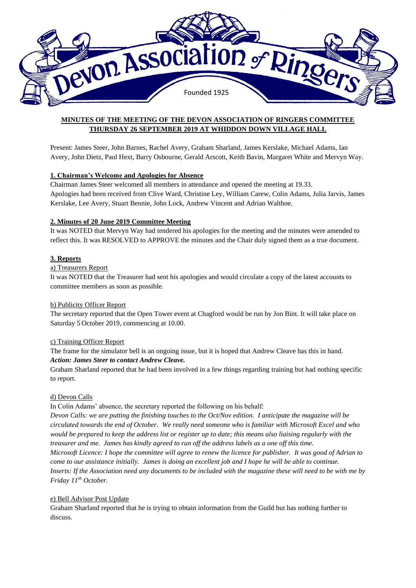

# **MINUTES OF THE MEETING OF THE DEVON ASSOCIATION OF RINGERS COMMITTEE THURSDAY 26 SEPTEMBER 2019 AT WHIDDON DOWN VILLAGE HALL**

Present: James Steer, John Barnes, Rachel Avery, Graham Sharland, James Kerslake, Michael Adams, Ian Avery, John Dietz, Paul Hext, Barry Osbourne, Gerald Arscott, Keith Bavin, Margaret White and Mervyn Way.

## **1. Chairman's Welcome and Apologies for Absence**

Chairman James Steer welcomed all members in attendance and opened the meeting at 19.33. Apologies had been received from Clive Ward, Christine Ley, William Carew, Colin Adams, Julia Jarvis, James Kerslake, Lee Avery, Stuart Bennie, John Lock, Andrew Vincent and Adrian Walthoe.

## **2. Minutes of 20 June 2019 Committee Meeting**

It was NOTED that Mervyn Way had tendered his apologies for the meeting and the minutes were amended to reflect this. It was RESOLVED to APPROVE the minutes and the Chair duly signed them as a true document.

## **3. Reports**

#### a) Treasurers Report

It was NOTED that the Treasurer had sent his apologies and would circulate a copy of the latest accounts to committee members as soon as possible.

## b) Publicity Officer Report

The secretary reported that the Open Tower event at Chagford would be run by Jon Bint. It will take place on Saturday 5 October 2019, commencing at 10.00.

## c) Training Officer Report

The frame for the simulator bell is an ongoing issue, but it is hoped that Andrew Cleave has this in hand. *Action: James Steer to contact Andrew Cleave.*

Graham Sharland reported that he had been involved in a few things regarding training but had nothing specific to report.

## d) Devon Calls

In Colin Adams' absence, the secretary reported the following on his behalf:

*Devon Calls: we are putting the finishing touches to the Oct/Nov edition. I anticipate the magazine will be circulated towards the end of October. We really need someone who is familiar with Microsoft Excel and who would be prepared to keep the address list or register up to date; this means also liaising regularly with the treasurer and me. James has kindly agreed to run off the address labels as a one off this time. Microsoft Licence: I hope the committee will agree to renew the licence for publisher. It was good of Adrian to come to our assistance initially. James is doing an excellent job and I hope he will be able to continue. Inserts: If the Association need any documents to be included with the magazine these will need to be with me by Friday 11th October.*

## e) Bell Advisor Post Update

Graham Sharland reported that he is trying to obtain information from the Guild but has nothing further to discuss.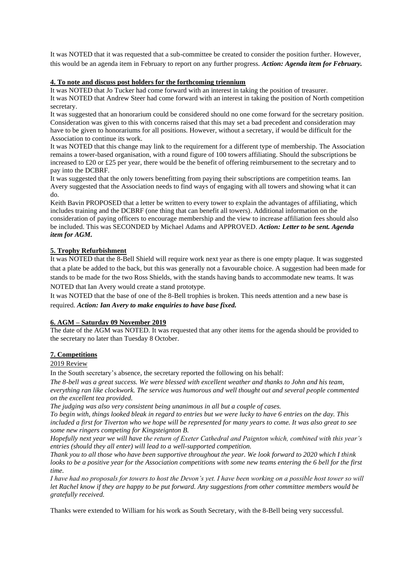It was NOTED that it was requested that a sub-committee be created to consider the position further. However, this would be an agenda item in February to report on any further progress. *Action: Agenda item for February.*

## **4. To note and discuss post holders for the forthcoming triennium**

It was NOTED that Jo Tucker had come forward with an interest in taking the position of treasurer. It was NOTED that Andrew Steer had come forward with an interest in taking the position of North competition secretary.

It was suggested that an honorarium could be considered should no one come forward for the secretary position. Consideration was given to this with concerns raised that this may set a bad precedent and consideration may have to be given to honorariums for all positions. However, without a secretary, if would be difficult for the Association to continue its work.

It was NOTED that this change may link to the requirement for a different type of membership. The Association remains a tower-based organisation, with a round figure of 100 towers affiliating. Should the subscriptions be increased to £20 or £25 per year, there would be the benefit of offering reimbursement to the secretary and to pay into the DCBRF.

It was suggested that the only towers benefitting from paying their subscriptions are competition teams. Ian Avery suggested that the Association needs to find ways of engaging with all towers and showing what it can do.

Keith Bavin PROPOSED that a letter be written to every tower to explain the advantages of affiliating, which includes training and the DCBRF (one thing that can benefit all towers). Additional information on the consideration of paying officers to encourage membership and the view to increase affiliation fees should also be included. This was SECONDED by Michael Adams and APPROVED. *Action: Letter to be sent. Agenda item for AGM.* 

## **5. Trophy Refurbishment**

It was NOTED that the 8-Bell Shield will require work next year as there is one empty plaque. It was suggested that a plate be added to the back, but this was generally not a favourable choice. A suggestion had been made for stands to be made for the two Ross Shields, with the stands having bands to accommodate new teams. It was NOTED that Ian Avery would create a stand prototype.

It was NOTED that the base of one of the 8-Bell trophies is broken. This needs attention and a new base is required. *Action: Ian Avery to make enquiries to have base fixed.*

## **6. AGM – Saturday 09 November 2019**

The date of the AGM was NOTED. It was requested that any other items for the agenda should be provided to the secretary no later than Tuesday 8 October.

## **7. Competitions**

2019 Review

In the South secretary's absence, the secretary reported the following on his behalf:

*The 8-bell was a great success. We were blessed with excellent weather and thanks to John and his team, everything ran like clockwork. The service was humorous and well thought out and several people commented on the excellent tea provided.* 

*The judging was also very consistent being unanimous in all but a couple of cases.* 

*To begin with, things looked bleak in regard to entries but we were lucky to have 6 entries on the day. This included a first for Tiverton who we hope will be represented for many years to come. It was also great to see some new ringers competing for Kingsteignton B.* 

*Hopefully next year we will have the return of Exeter Cathedral and Paignton which, combined with this year's entries (should they all enter) will lead to a well-supported competition.* 

*Thank you to all those who have been supportive throughout the year. We look forward to 2020 which I think looks to be a positive year for the Association competitions with some new teams entering the 6 bell for the first time.* 

*I have had no proposals for towers to host the Devon's yet. I have been working on a possible host tower so will let Rachel know if they are happy to be put forward. Any suggestions from other committee members would be gratefully received.* 

Thanks were extended to William for his work as South Secretary, with the 8-Bell being very successful.